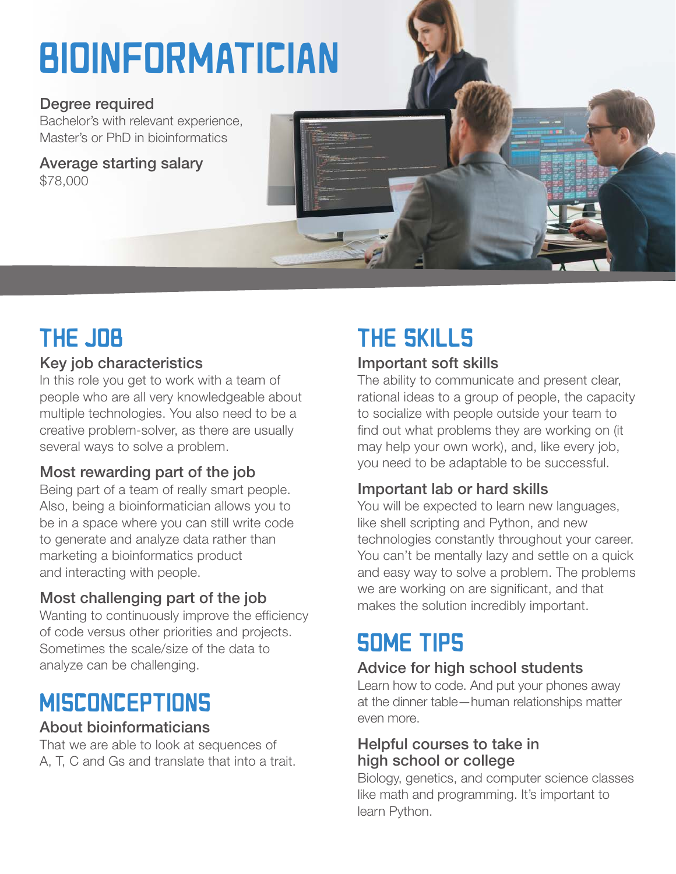# **BIOINFORMATICIAN**

#### Degree required

Bachelor's with relevant experience, Master's or PhD in bioinformatics

Average starting salary \$78,000



## **THE JOB**

### Key job characteristics

In this role you get to work with a team of people who are all very knowledgeable about multiple technologies. You also need to be a creative problem-solver, as there are usually several ways to solve a problem.

### Most rewarding part of the job

Being part of a team of really smart people. Also, being a bioinformatician allows you to be in a space where you can still write code to generate and analyze data rather than marketing a bioinformatics product and interacting with people.

### Most challenging part of the job

Wanting to continuously improve the efficiency of code versus other priorities and projects. Sometimes the scale/size of the data to analyze can be challenging.

### **MISCONCEPTIONS**

### About bioinformaticians

That we are able to look at sequences of A, T, C and Gs and translate that into a trait.

# THE SKILLS

### Important soft skills

The ability to communicate and present clear, rational ideas to a group of people, the capacity to socialize with people outside your team to find out what problems they are working on (it may help your own work), and, like every job, you need to be adaptable to be successful.

### Important lab or hard skills

You will be expected to learn new languages, like shell scripting and Python, and new technologies constantly throughout your career. You can't be mentally lazy and settle on a quick and easy way to solve a problem. The problems we are working on are significant, and that makes the solution incredibly important.

### SOME TIPS

### Advice for high school students

Learn how to code. And put your phones away at the dinner table—human relationships matter even more.

### Helpful courses to take in high school or college

Biology, genetics, and computer science classes like math and programming. It's important to learn Python.